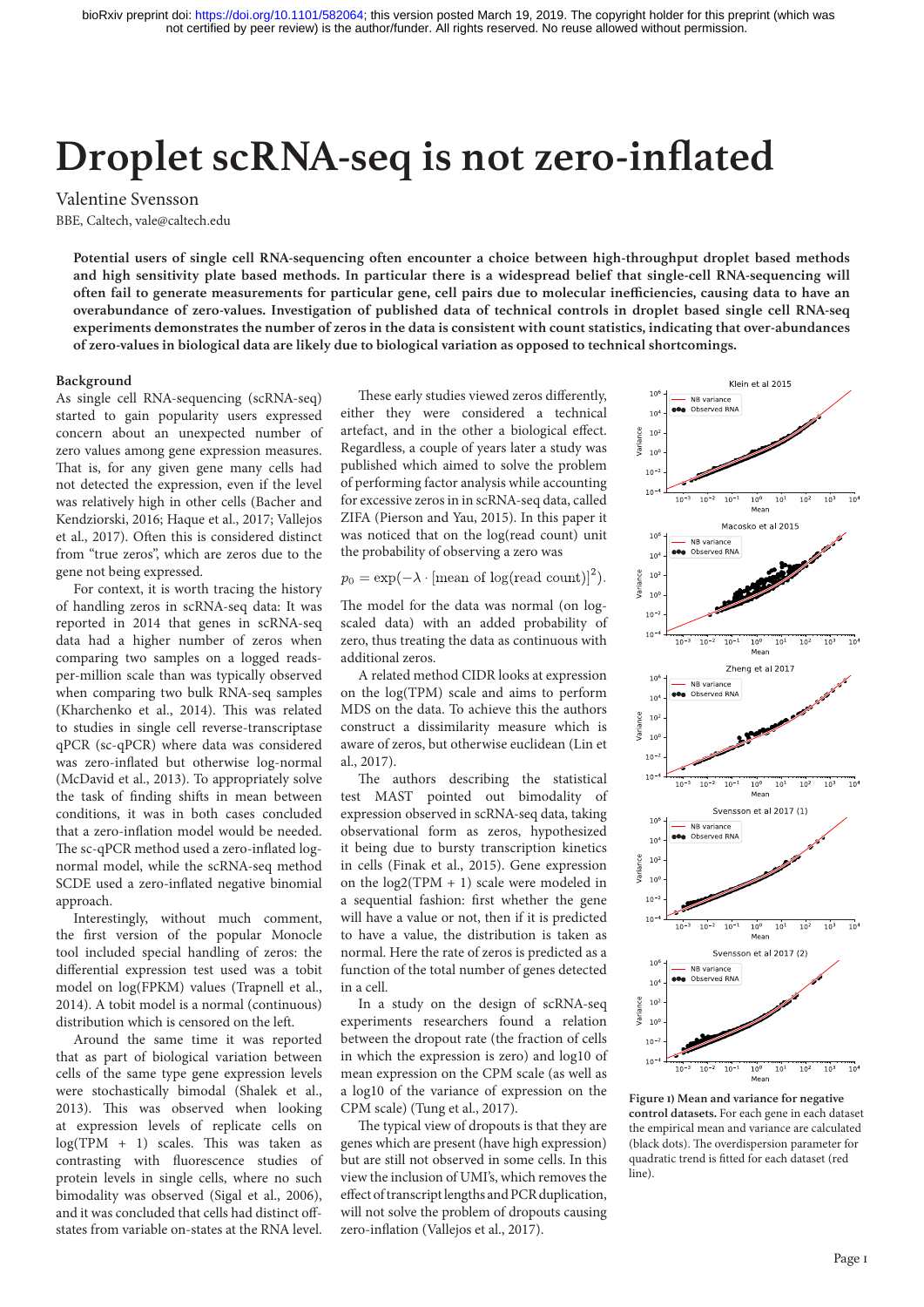Valentine Svensson BBE, Caltech, vale@caltech.edu

**Potential users of single cell RNA-sequencing often encounter a choice between high-throughput droplet based methods and high sensitivity plate based methods. In particular there is a widespread belief that single-cell RNA-sequencing will often fail to generate measurements for particular gene, cell pairs due to molecular inefficiencies, causing data to have an overabundance of zero-values. Investigation of published data of technical controls in droplet based single cell RNA-seq experiments demonstrates the number of zeros in the data is consistent with count statistics, indicating that over-abundances of zero-values in biological data are likely due to biological variation as opposed to technical shortcomings.**

## **Background**

As single cell RNA-sequencing (scRNA-seq) started to gain popularity users expressed concern about an unexpected number of zero values among gene expression measures. That is, for any given gene many cells had not detected the expression, even if the level was relatively high in other cells (Bacher and Kendziorski, 2016; Haque et al., 2017; Vallejos et al., 2017). Often this is considered distinct from "true zeros", which are zeros due to the gene not being expressed.

For context, it is worth tracing the history of handling zeros in scRNA-seq data: It was reported in 2014 that genes in scRNA-seq data had a higher number of zeros when comparing two samples on a logged readsper-million scale than was typically observed when comparing two bulk RNA-seq samples (Kharchenko et al., 2014). This was related to studies in single cell reverse-transcriptase qPCR (sc-qPCR) where data was considered was zero-inflated but otherwise log-normal (McDavid et al., 2013). To appropriately solve the task of finding shifts in mean between conditions, it was in both cases concluded that a zero-inflation model would be needed. The sc-qPCR method used a zero-inflated lognormal model, while the scRNA-seq method SCDE used a zero-inflated negative binomial approach.

Interestingly, without much comment, the first version of the popular Monocle tool included special handling of zeros: the differential expression test used was a tobit model on log(FPKM) values (Trapnell et al., 2014). A tobit model is a normal (continuous) distribution which is censored on the left.

Around the same time it was reported that as part of biological variation between cells of the same type gene expression levels were stochastically bimodal (Shalek et al., 2013). This was observed when looking at expression levels of replicate cells on log(TPM + 1) scales. This was taken as contrasting with fluorescence studies of protein levels in single cells, where no such bimodality was observed (Sigal et al., 2006), and it was concluded that cells had distinct offstates from variable on-states at the RNA level.

These early studies viewed zeros differently, either they were considered a technical artefact, and in the other a biological effect. Regardless, a couple of years later a study was published which aimed to solve the problem of performing factor analysis while accounting for excessive zeros in in scRNA-seq data, called ZIFA (Pierson and Yau, 2015). In this paper it was noticed that on the log(read count) unit the probability of observing a zero was

 $p_0 = \exp(-\lambda \cdot [\text{mean of log}(\text{read count})]^2).$ 

The model for the data was normal (on logscaled data) with an added probability of zero, thus treating the data as continuous with additional zeros.

A related method CIDR looks at expression on the log(TPM) scale and aims to perform MDS on the data. To achieve this the authors construct a dissimilarity measure which is aware of zeros, but otherwise euclidean (Lin et al., 2017).

The authors describing the statistical test MAST pointed out bimodality of expression observed in scRNA-seq data, taking observational form as zeros, hypothesized it being due to bursty transcription kinetics in cells (Finak et al., 2015). Gene expression on the  $log2(TPM + 1)$  scale were modeled in a sequential fashion: first whether the gene will have a value or not, then if it is predicted to have a value, the distribution is taken as normal. Here the rate of zeros is predicted as a function of the total number of genes detected in a cell.

In a study on the design of scRNA-seq experiments researchers found a relation between the dropout rate (the fraction of cells in which the expression is zero) and log10 of mean expression on the CPM scale (as well as a log10 of the variance of expression on the CPM scale) (Tung et al., 2017).

The typical view of dropouts is that they are genes which are present (have high expression) but are still not observed in some cells. In this view the inclusion of UMI's, which removes the effect of transcript lengths and PCR duplication, will not solve the problem of dropouts causing zero-inflation (Vallejos et al., 2017).



**Figure 1) Mean and variance for negative control datasets.** For each gene in each dataset the empirical mean and variance are calculated (black dots). The overdispersion parameter for quadratic trend is fitted for each dataset (red line).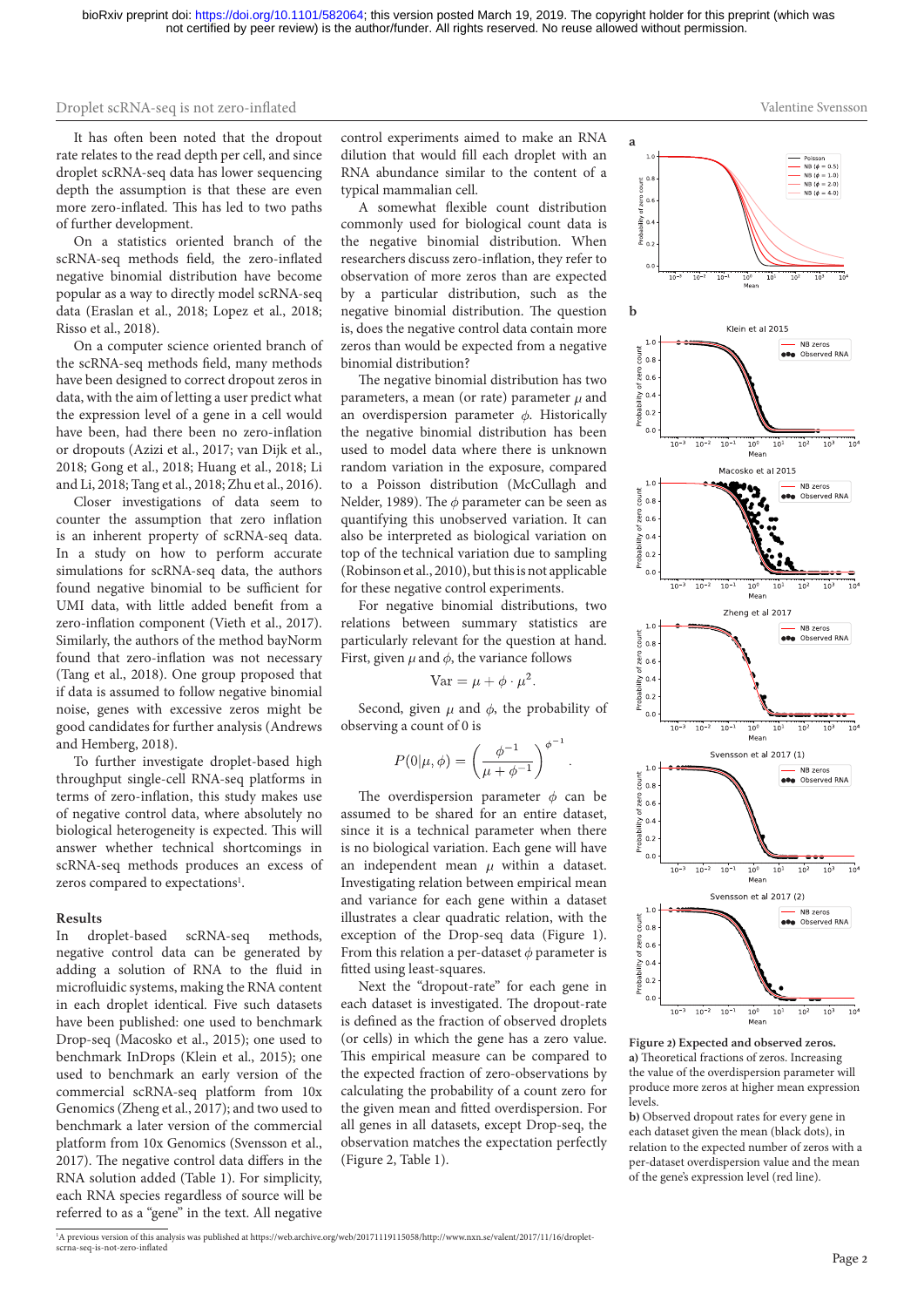Valentine Svensson

It has often been noted that the dropout rate relates to the read depth per cell, and since droplet scRNA-seq data has lower sequencing depth the assumption is that these are even more zero-inflated. This has led to two paths of further development.

On a statistics oriented branch of the scRNA-seq methods field, the zero-inflated negative binomial distribution have become popular as a way to directly model scRNA-seq data (Eraslan et al., 2018; Lopez et al., 2018; Risso et al., 2018).

On a computer science oriented branch of the scRNA-seq methods field, many methods have been designed to correct dropout zeros in data, with the aim of letting a user predict what the expression level of a gene in a cell would have been, had there been no zero-inflation or dropouts (Azizi et al., 2017; van Dijk et al., 2018; Gong et al., 2018; Huang et al., 2018; Li and Li, 2018; Tang et al., 2018; Zhu et al., 2016).

Closer investigations of data seem to counter the assumption that zero inflation is an inherent property of scRNA-seq data. In a study on how to perform accurate simulations for scRNA-seq data, the authors found negative binomial to be sufficient for UMI data, with little added benefit from a zero-inflation component (Vieth et al., 2017). Similarly, the authors of the method bayNorm found that zero-inflation was not necessary (Tang et al., 2018). One group proposed that if data is assumed to follow negative binomial noise, genes with excessive zeros might be good candidates for further analysis (Andrews and Hemberg, 2018).

To further investigate droplet-based high throughput single-cell RNA-seq platforms in terms of zero-inflation, this study makes use of negative control data, where absolutely no biological heterogeneity is expected. This will answer whether technical shortcomings in scRNA-seq methods produces an excess of zeros compared to expectations<sup>1</sup>.

#### **Results**

In droplet-based scRNA-seq methods, negative control data can be generated by adding a solution of RNA to the fluid in microfluidic systems, making the RNA content in each droplet identical. Five such datasets have been published: one used to benchmark Drop-seq (Macosko et al., 2015); one used to benchmark InDrops (Klein et al., 2015); one used to benchmark an early version of the commercial scRNA-seq platform from 10x Genomics (Zheng et al., 2017); and two used to benchmark a later version of the commercial platform from 10x Genomics (Svensson et al., 2017). The negative control data differs in the RNA solution added (Table 1). For simplicity, each RNA species regardless of source will be referred to as a "gene" in the text. All negative

control experiments aimed to make an RNA dilution that would fill each droplet with an RNA abundance similar to the content of a typical mammalian cell.

A somewhat flexible count distribution commonly used for biological count data is the negative binomial distribution. When researchers discuss zero-inflation, they refer to observation of more zeros than are expected by a particular distribution, such as the negative binomial distribution. The question is, does the negative control data contain more zeros than would be expected from a negative binomial distribution?

The negative binomial distribution has two parameters, a mean (or rate) parameter  $\mu$  and an overdispersion parameter  $\phi$ . Historically the negative binomial distribution has been used to model data where there is unknown random variation in the exposure, compared to a Poisson distribution (McCullagh and Nelder, 1989). The  $\phi$  parameter can be seen as quantifying this unobserved variation. It can also be interpreted as biological variation on top of the technical variation due to sampling (Robinson et al., 2010), but this is not applicable for these negative control experiments.

For negative binomial distributions, two relations between summary statistics are particularly relevant for the question at hand. First, given  $\mu$  and  $\phi$ , the variance follows

$$
Var = \mu + \phi \cdot \mu^2
$$

Second, given  $\mu$  and  $\phi$ , the probability of observing a count of 0 is

$$
P(0|\mu,\phi) = \left(\frac{\phi^{-1}}{\mu + \phi^{-1}}\right)^{\phi}
$$

The overdispersion parameter  $\phi$  can be assumed to be shared for an entire dataset, since it is a technical parameter when there is no biological variation. Each gene will have an independent mean  $\mu$  within a dataset. Investigating relation between empirical mean and variance for each gene within a dataset illustrates a clear quadratic relation, with the exception of the Drop-seq data (Figure 1). From this relation a per-dataset  $\phi$  parameter is fitted using least-squares.

Next the "dropout-rate" for each gene in each dataset is investigated. The dropout-rate is defined as the fraction of observed droplets (or cells) in which the gene has a zero value. This empirical measure can be compared to the expected fraction of zero-observations by calculating the probability of a count zero for the given mean and fitted overdispersion. For all genes in all datasets, except Drop-seq, the observation matches the expectation perfectly (Figure 2, Table 1).



**Figure 2) Expected and observed zeros. a)** Theoretical fractions of zeros. Increasing the value of the overdispersion parameter will produce more zeros at higher mean expression levels.

**b)** Observed dropout rates for every gene in each dataset given the mean (black dots), in relation to the expected number of zeros with a per-dataset overdispersion value and the mean of the gene's expression level (red line).

<sup>1</sup>A previous version of this analysis was published at https://web.archive.org/web/20171119115058/http://www.nxn.se/valent/2017/11/16/dropletscrna-seq-is-not-zero-inflated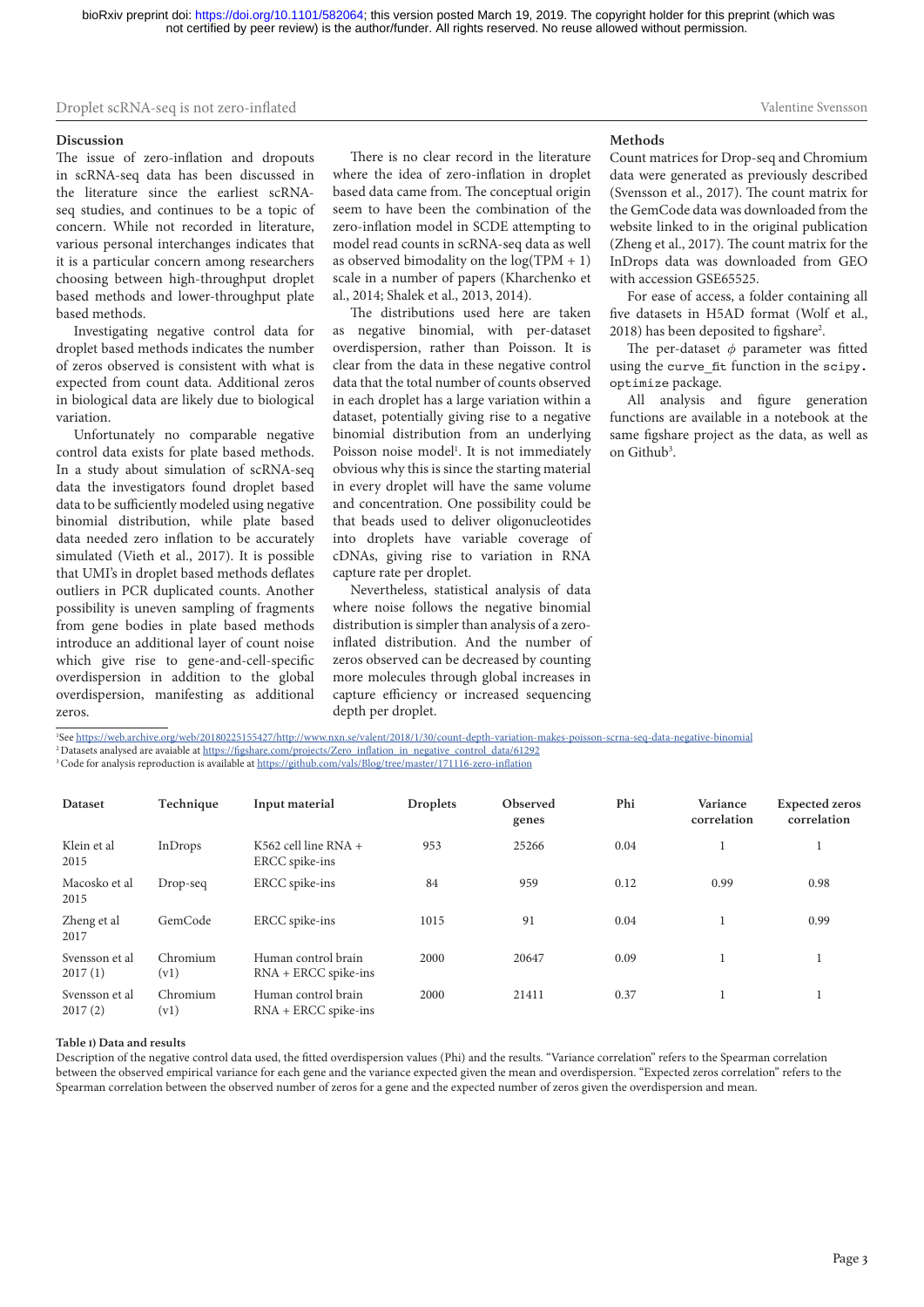#### **Discussion**

The issue of zero-inflation and dropouts in scRNA-seq data has been discussed in the literature since the earliest scRNAseq studies, and continues to be a topic of concern. While not recorded in literature, various personal interchanges indicates that it is a particular concern among researchers choosing between high-throughput droplet based methods and lower-throughput plate based methods.

Investigating negative control data for droplet based methods indicates the number of zeros observed is consistent with what is expected from count data. Additional zeros in biological data are likely due to biological variation.

Unfortunately no comparable negative control data exists for plate based methods. In a study about simulation of scRNA-seq data the investigators found droplet based data to be sufficiently modeled using negative binomial distribution, while plate based data needed zero inflation to be accurately simulated (Vieth et al., 2017). It is possible that UMI's in droplet based methods deflates outliers in PCR duplicated counts. Another possibility is uneven sampling of fragments from gene bodies in plate based methods introduce an additional layer of count noise which give rise to gene-and-cell-specific overdispersion in addition to the global overdispersion, manifesting as additional zeros.

There is no clear record in the literature where the idea of zero-inflation in droplet based data came from. The conceptual origin seem to have been the combination of the zero-inflation model in SCDE attempting to model read counts in scRNA-seq data as well as observed bimodality on the  $log(TPM + 1)$ scale in a number of papers (Kharchenko et al., 2014; Shalek et al., 2013, 2014).

The distributions used here are taken as negative binomial, with per-dataset overdispersion, rather than Poisson. It is clear from the data in these negative control data that the total number of counts observed in each droplet has a large variation within a dataset, potentially giving rise to a negative binomial distribution from an underlying Poisson noise model<sup>1</sup>. It is not immediately obvious why this is since the starting material in every droplet will have the same volume and concentration. One possibility could be that beads used to deliver oligonucleotides into droplets have variable coverage of cDNAs, giving rise to variation in RNA capture rate per droplet.

Nevertheless, statistical analysis of data where noise follows the negative binomial distribution is simpler than analysis of a zeroinflated distribution. And the number of zeros observed can be decreased by counting more molecules through global increases in capture efficiency or increased sequencing depth per droplet.

#### **Methods**

Count matrices for Drop-seq and Chromium data were generated as previously described (Svensson et al., 2017). The count matrix for the GemCode data was downloaded from the website linked to in the original publication (Zheng et al., 2017). The count matrix for the InDrops data was downloaded from GEO with accession GSE65525.

Valentine Svensson

For ease of access, a folder containing all five datasets in H5AD format (Wolf et al., 2018) has been deposited to figshare<sup>2</sup>.

The per-dataset  $\phi$  parameter was fitted using the curve fit function in the scipy. optimize package.

All analysis and figure generation functions are available in a notebook at the same figshare project as the data, as well as on Github<sup>3</sup>.

1 See<https://web.archive.org/web/20180225155427/http://www.nxn.se/valent/2018/1/30/count-depth-variation-makes-poisson-scrna-seq-data-negative-binomial> <sup>2</sup> Datasets analysed are avaiable at [https://figshare.com/projects/Zero\\_inflation\\_in\\_negative\\_control\\_data/61292](https://figshare.com/projects/Zero_inflation_in_negative_control_data/61292)

3 Code for analysis reproduction is available at <https://github.com/vals/Blog/tree/master/171116-zero-inflation>

| Dataset                   | Technique        | Input material                                | <b>Droplets</b> | Observed<br>genes | Phi  | Variance<br>correlation | <b>Expected zeros</b><br>correlation |
|---------------------------|------------------|-----------------------------------------------|-----------------|-------------------|------|-------------------------|--------------------------------------|
| Klein et al<br>2015       | InDrops          | K562 cell line RNA $+$<br>ERCC spike-ins      | 953             | 25266             | 0.04 |                         |                                      |
| Macosko et al<br>2015     | Drop-seq         | ERCC spike-ins                                | 84              | 959               | 0.12 | 0.99                    | 0.98                                 |
| Zheng et al<br>2017       | GemCode          | ERCC spike-ins                                | 1015            | 91                | 0.04 |                         | 0.99                                 |
| Svensson et al<br>2017(1) | Chromium<br>(v1) | Human control brain<br>$RNA + ERCC$ spike-ins | 2000            | 20647             | 0.09 |                         |                                      |
| Svensson et al<br>2017(2) | Chromium<br>(v1) | Human control brain<br>$RNA + ERCC$ spike-ins | 2000            | 21411             | 0.37 |                         |                                      |

#### **Table 1) Data and results**

Description of the negative control data used, the fitted overdispersion values (Phi) and the results. "Variance correlation" refers to the Spearman correlation between the observed empirical variance for each gene and the variance expected given the mean and overdispersion. "Expected zeros correlation" refers to the Spearman correlation between the observed number of zeros for a gene and the expected number of zeros given the overdispersion and mean.